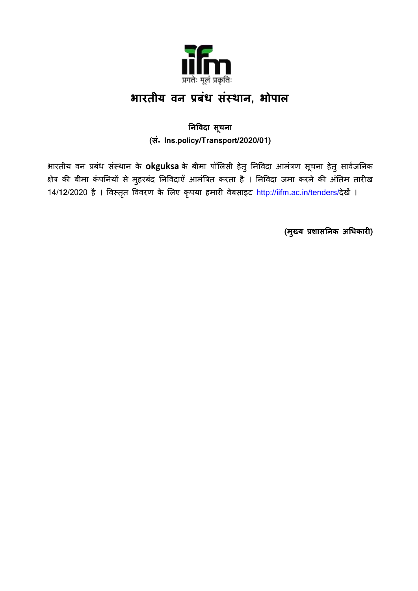

# **भारतीय वन प्रबंध संस्थान, भोपाल**

### **ननववदा सचू ना (सं॰ Ins.policy/Transport/2020/01)**

भारतीय वन प्रबंध संस्थान के **okguksa** के बीमा पॉलिसी हेतु निविदा आमंत्रण सूचना हेतु सार्वजनिक क्षेत्र की बीमा कंपननयों से मुहरबंद ननववदाएँआमंत्रत्रत करता है । ननववदा जमा करने की अंनतम तारीख 14/**12**/2020 है । विस्तृत विवरण के लिए कृपया हमारी वेबसाइट <http://iifm.ac.in/tenders/>देखें ।

**(मुख्य प्रशासननक अधधकारी)**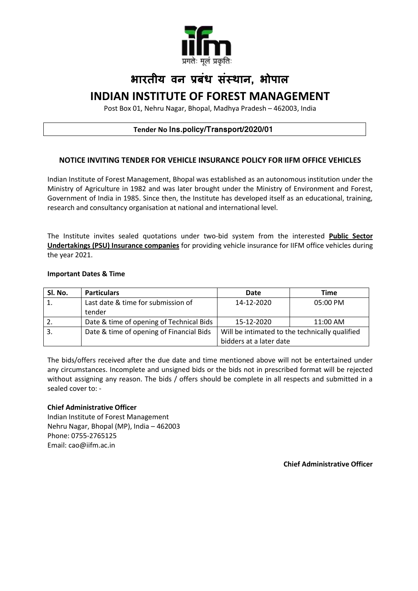

# **भारतीय वन प्रबंध संस्थान, भोपाल INDIAN INSTITUTE OF FOREST MANAGEMENT**

Post Box 01, Nehru Nagar, Bhopal, Madhya Pradesh – 462003, India

#### **Tender No Ins.policy/Transport/2020/01**

#### **NOTICE INVITING TENDER FOR VEHICLE INSURANCE POLICY FOR IIFM OFFICE VEHICLES**

Indian Institute of Forest Management, Bhopal was established as an autonomous institution under the Ministry of Agriculture in 1982 and was later brought under the Ministry of Environment and Forest, Government of India in 1985. Since then, the Institute has developed itself as an educational, training, research and consultancy organisation at national and international level.

The Institute invites sealed quotations under two-bid system from the interested **Public Sector Undertakings (PSU) Insurance companies** for providing vehicle insurance for IIFM office vehicles during the year 2021.

#### **Important Dates & Time**

| SI. No. | <b>Particulars</b>                       | Date                                           | Time     |  |  |  |
|---------|------------------------------------------|------------------------------------------------|----------|--|--|--|
|         | Last date & time for submission of       | 14-12-2020                                     | 05:00 PM |  |  |  |
|         | tender                                   |                                                |          |  |  |  |
| 2.      | Date & time of opening of Technical Bids | 15-12-2020                                     | 11:00 AM |  |  |  |
|         | Date & time of opening of Financial Bids | Will be intimated to the technically qualified |          |  |  |  |
|         |                                          | bidders at a later date                        |          |  |  |  |

The bids/offers received after the due date and time mentioned above will not be entertained under any circumstances. Incomplete and unsigned bids or the bids not in prescribed format will be rejected without assigning any reason. The bids / offers should be complete in all respects and submitted in a sealed cover to: -

#### **Chief Administrative Officer**

Indian Institute of Forest Management Nehru Nagar, Bhopal (MP), India – 462003 Phone: 0755-2765125 Email: cao@iifm.ac.in

**Chief Administrative Officer**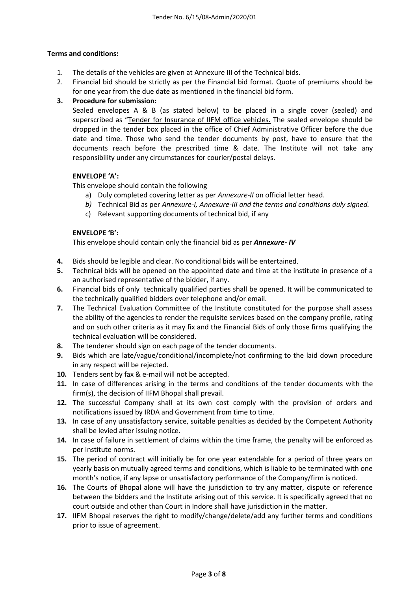#### **Terms and conditions:**

- 1. The details of the vehicles are given at Annexure III of the Technical bids.
- 2. Financial bid should be strictly as per the Financial bid format. Quote of premiums should be for one year from the due date as mentioned in the financial bid form.

#### **3. Procedure for submission:**

Sealed envelopes A & B (as stated below) to be placed in a single cover (sealed) and superscribed as "Tender for Insurance of IIFM office vehicles. The sealed envelope should be dropped in the tender box placed in the office of Chief Administrative Officer before the due date and time. Those who send the tender documents by post, have to ensure that the documents reach before the prescribed time & date. The Institute will not take any responsibility under any circumstances for courier/postal delays.

#### **ENVELOPE 'A':**

This envelope should contain the following

- a) Duly completed covering letter as per *Annexure-II* on official letter head.
- *b)* Technical Bid as per *Annexure-I, Annexure-III and the terms and conditions duly signed.*
- c) Relevant supporting documents of technical bid, if any

#### **ENVELOPE 'B':**

This envelope should contain only the financial bid as per *Annexure- IV*

- **4.** Bids should be legible and clear. No conditional bids will be entertained.
- **5.** Technical bids will be opened on the appointed date and time at the institute in presence of a an authorised representative of the bidder, if any.
- **6.** Financial bids of only technically qualified parties shall be opened. It will be communicated to the technically qualified bidders over telephone and/or email.
- **7.** The Technical Evaluation Committee of the Institute constituted for the purpose shall assess the ability of the agencies to render the requisite services based on the company profile, rating and on such other criteria as it may fix and the Financial Bids of only those firms qualifying the technical evaluation will be considered.
- **8.** The tenderer should sign on each page of the tender documents.
- **9.** Bids which are late/vague/conditional/incomplete/not confirming to the laid down procedure in any respect will be rejected.
- **10.** Tenders sent by fax & e-mail will not be accepted.
- **11.** In case of differences arising in the terms and conditions of the tender documents with the firm(s), the decision of IIFM Bhopal shall prevail.
- **12.** The successful Company shall at its own cost comply with the provision of orders and notifications issued by IRDA and Government from time to time.
- **13.** In case of any unsatisfactory service, suitable penalties as decided by the Competent Authority shall be levied after issuing notice.
- **14.** In case of failure in settlement of claims within the time frame, the penalty will be enforced as per Institute norms.
- **15.** The period of contract will initially be for one year extendable for a period of three years on yearly basis on mutually agreed terms and conditions, which is liable to be terminated with one month's notice, if any lapse or unsatisfactory performance of the Company/firm is noticed.
- **16.** The Courts of Bhopal alone will have the jurisdiction to try any matter, dispute or reference between the bidders and the Institute arising out of this service. It is specifically agreed that no court outside and other than Court in Indore shall have jurisdiction in the matter.
- **17.** IIFM Bhopal reserves the right to modify/change/delete/add any further terms and conditions prior to issue of agreement.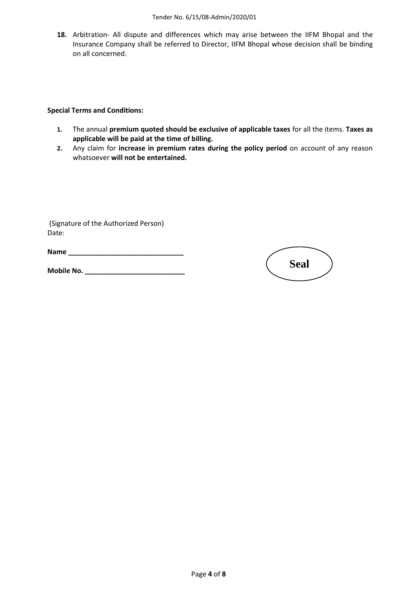**18.** Arbitration- All dispute and differences which may arise between the IIFM Bhopal and the Insurance Company shall be referred to Director, IIFM Bhopal whose decision shall be binding on all concerned.

**Special Terms and Conditions:**

- **1.** The annual **premium quoted should be exclusive of applicable taxes** for all the items. **Taxes as applicable will be paid at the time of billing.**
- **2.** Any claim for **increase in premium rates during the policy period** on account of any reason whatsoever **will not be entertained.**

(Signature of the Authorized Person) Date:

**Name \_\_\_\_\_\_\_\_\_\_\_\_\_\_\_\_\_\_\_\_\_\_\_\_\_\_\_\_\_\_**

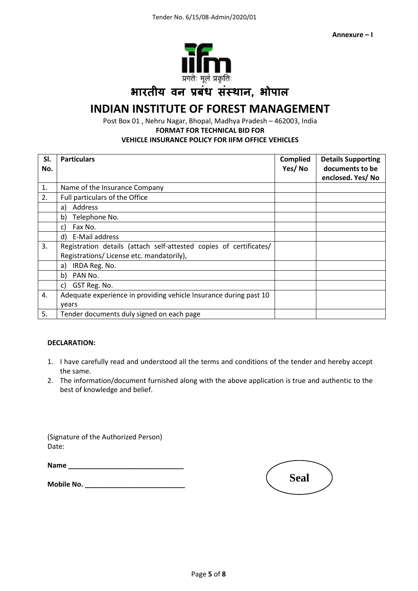

## **भारतीय वन प्रबंध संस्थान, भोपाल**

## **INDIAN INSTITUTE OF FOREST MANAGEMENT**

Post Box 01 , Nehru Nagar, Bhopal, Madhya Pradesh – 462003, India **FORMAT FOR TECHNICAL BID FOR VEHICLE INSURANCE POLICY FOR IIFM OFFICE VEHICLES** 

| SI.<br>No. | <b>Particulars</b>                                                                                             | <b>Complied</b><br>Yes/No | <b>Details Supporting</b><br>documents to be<br>enclosed. Yes/No |
|------------|----------------------------------------------------------------------------------------------------------------|---------------------------|------------------------------------------------------------------|
| 1.         | Name of the Insurance Company                                                                                  |                           |                                                                  |
| 2.         | Full particulars of the Office                                                                                 |                           |                                                                  |
|            | Address<br>a)                                                                                                  |                           |                                                                  |
|            | Telephone No.<br>b)                                                                                            |                           |                                                                  |
|            | Fax No.<br>C)                                                                                                  |                           |                                                                  |
|            | d) E-Mail address                                                                                              |                           |                                                                  |
| 3.         | Registration details (attach self-attested copies of certificates/<br>Registrations/License etc. mandatorily), |                           |                                                                  |
|            | IRDA Reg. No.<br>a)                                                                                            |                           |                                                                  |
|            | b)<br>PAN No.                                                                                                  |                           |                                                                  |
|            | GST Reg. No.<br>C)                                                                                             |                           |                                                                  |
| 4.         | Adequate experience in providing vehicle Insurance during past 10<br>years                                     |                           |                                                                  |
| 5.         | Tender documents duly signed on each page                                                                      |                           |                                                                  |

#### **DECLARATION:**

- 1. I have carefully read and understood all the terms and conditions of the tender and hereby accept the same.
- 2. The information/document furnished along with the above application is true and authentic to the best of knowledge and belief.

(Signature of the Authorized Person) Date:

| Name |  |  |  |  |  |  |  |  |  |  |
|------|--|--|--|--|--|--|--|--|--|--|
|      |  |  |  |  |  |  |  |  |  |  |
|      |  |  |  |  |  |  |  |  |  |  |

| <b>Seal</b> |  |
|-------------|--|
|             |  |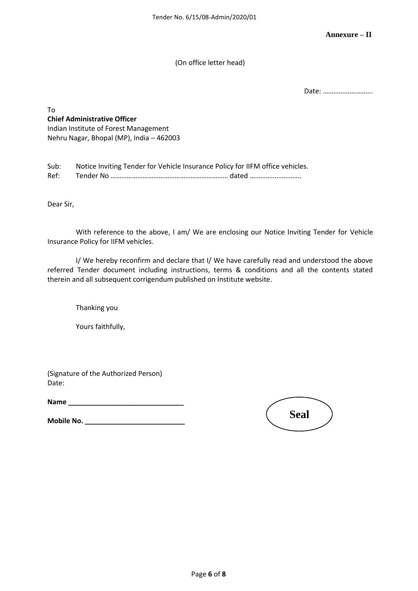(On office letter head)

Date: ……………………….

To **Chief Administrative Officer** Indian Institute of Forest Management Nehru Nagar, Bhopal (MP), India – 462003

Sub: Notice Inviting Tender for Vehicle Insurance Policy for IIFM office vehicles. Ref: Tender No ………………………………………………………… dated ………………………..

Dear Sir,

With reference to the above, I am/ We are enclosing our Notice Inviting Tender for Vehicle Insurance Policy for IIFM vehicles.

I/ We hereby reconfirm and declare that I/ We have carefully read and understood the above referred Tender document including instructions, terms & conditions and all the contents stated therein and all subsequent corrigendum published on Institute website.

Thanking you

Yours faithfully,

(Signature of the Authorized Person) Date:

**Name \_\_\_\_\_\_\_\_\_\_\_\_\_\_\_\_\_\_\_\_\_\_\_\_\_\_\_\_\_\_**

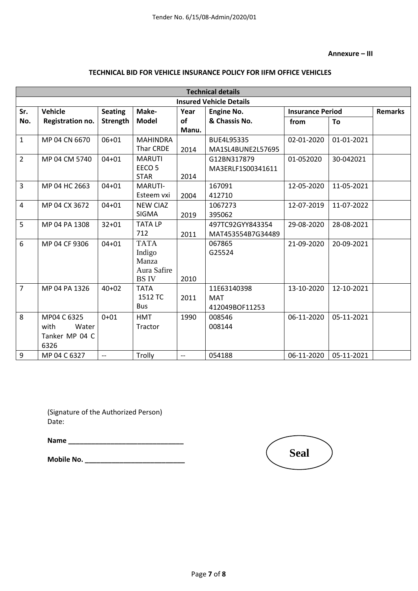#### **Annexure – III**

#### **TECHNICAL BID FOR VEHICLE INSURANCE POLICY FOR IIFM OFFICE VEHICLES**

| <b>Technical details</b>       |                  |                 |                        |       |                   |                                           |            |  |  |  |  |  |
|--------------------------------|------------------|-----------------|------------------------|-------|-------------------|-------------------------------------------|------------|--|--|--|--|--|
| <b>Insured Vehicle Details</b> |                  |                 |                        |       |                   |                                           |            |  |  |  |  |  |
| Sr.                            | <b>Vehicle</b>   | <b>Seating</b>  | Make-                  | Year  | <b>Engine No.</b> | <b>Remarks</b><br><b>Insurance Period</b> |            |  |  |  |  |  |
| No.                            | Registration no. | <b>Strength</b> | <b>Model</b>           | of    | & Chassis No.     | from                                      | To         |  |  |  |  |  |
|                                |                  |                 |                        | Manu. |                   |                                           |            |  |  |  |  |  |
| $\mathbf{1}$                   | MP 04 CN 6670    | $06 + 01$       | <b>MAHINDRA</b>        |       | BUE4L95335        | 02-01-2020                                | 01-01-2021 |  |  |  |  |  |
|                                |                  |                 | Thar CRDE              | 2014  | MA1SL4BUNE2L57695 |                                           |            |  |  |  |  |  |
| $\overline{2}$                 | MP 04 CM 5740    | $04 + 01$       | <b>MARUTI</b>          |       | G12BN317879       | 01-052020                                 | 30-042021  |  |  |  |  |  |
|                                |                  |                 | EECO <sub>5</sub>      |       | MA3ERLF1S00341611 |                                           |            |  |  |  |  |  |
|                                |                  |                 | <b>STAR</b>            | 2014  |                   |                                           |            |  |  |  |  |  |
| 3                              | MP 04 HC 2663    | $04 + 01$       | MARUTI-                |       | 167091            | 12-05-2020                                | 11-05-2021 |  |  |  |  |  |
|                                |                  |                 | Esteem vxi             | 2004  | 412710            |                                           |            |  |  |  |  |  |
| 4                              | MP 04 CX 3672    | $04 + 01$       | <b>NEW CIAZ</b>        |       | 1067273           | 12-07-2019                                | 11-07-2022 |  |  |  |  |  |
|                                |                  |                 | <b>SIGMA</b>           | 2019  | 395062            |                                           |            |  |  |  |  |  |
| 5                              | MP 04 PA 1308    | $32 + 01$       | <b>TATALP</b>          |       | 497TC92GYY843354  | 29-08-2020                                | 28-08-2021 |  |  |  |  |  |
|                                |                  |                 | 712                    | 2011  | MAT453554B7G34489 |                                           |            |  |  |  |  |  |
| 6                              | MP 04 CF 9306    | $04 + 01$       | <b>TATA</b>            |       | 067865            | 21-09-2020                                | 20-09-2021 |  |  |  |  |  |
|                                |                  |                 | Indigo                 |       | G25524            |                                           |            |  |  |  |  |  |
|                                |                  |                 | Manza                  |       |                   |                                           |            |  |  |  |  |  |
|                                |                  |                 | Aura Safire            |       |                   |                                           |            |  |  |  |  |  |
|                                |                  |                 | <b>BSIV</b>            | 2010  |                   |                                           |            |  |  |  |  |  |
| $\overline{7}$                 | MP 04 PA 1326    | $40 + 02$       | <b>TATA</b><br>1512 TC |       | 11E63140398       | 13-10-2020                                | 12-10-2021 |  |  |  |  |  |
|                                |                  |                 |                        | 2011  | <b>MAT</b>        |                                           |            |  |  |  |  |  |
|                                |                  |                 | <b>Bus</b>             |       | 412049BOF11253    |                                           |            |  |  |  |  |  |
| 8                              | MP04 C 6325      | $0 + 01$        | <b>HMT</b>             | 1990  | 008546            | 06-11-2020                                | 05-11-2021 |  |  |  |  |  |
|                                | with<br>Water    |                 | Tractor                |       | 008144            |                                           |            |  |  |  |  |  |
|                                | Tanker MP 04 C   |                 |                        |       |                   |                                           |            |  |  |  |  |  |
|                                | 6326             |                 |                        |       |                   |                                           |            |  |  |  |  |  |
| $\boldsymbol{9}$               | MP 04 C 6327     | $-$             | Trolly                 | $-$   | 054188            | 06-11-2020                                | 05-11-2021 |  |  |  |  |  |

(Signature of the Authorized Person) Date:

**Name \_\_\_\_\_\_\_\_\_\_\_\_\_\_\_\_\_\_\_\_\_\_\_\_\_\_\_\_\_\_**